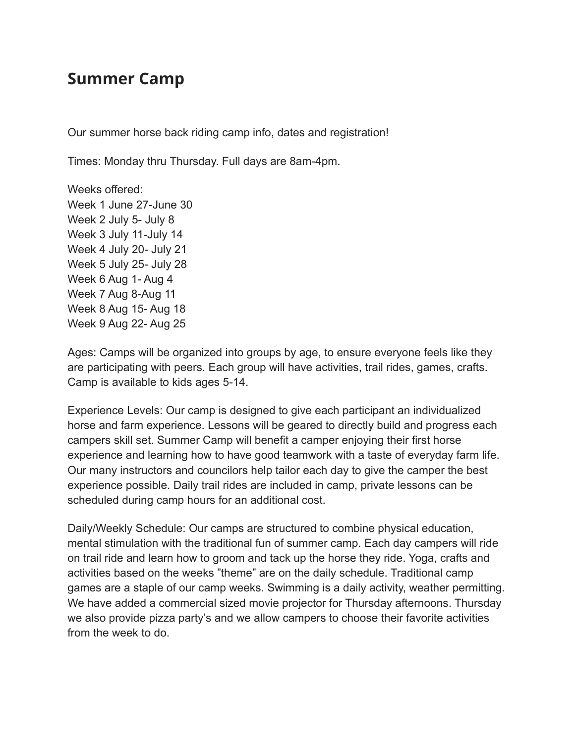## **Summer Camp**

Our summer horse back riding camp info, dates and registration!

Times: Monday thru Thursday. Full days are 8am-4pm.

Weeks offered: Week 1 June 27-June 30 Week 2 July 5- July 8 Week 3 July 11-July 14 Week 4 July 20- July 21 Week 5 July 25- July 28 Week 6 Aug 1- Aug 4 Week 7 Aug 8-Aug 11 Week 8 Aug 15- Aug 18 Week 9 Aug 22- Aug 25

Ages: Camps will be organized into groups by age, to ensure everyone feels like they are participating with peers. Each group will have activities, trail rides, games, crafts. Camp is available to kids ages 5-14.

Experience Levels: Our camp is designed to give each participant an individualized horse and farm experience. Lessons will be geared to directly build and progress each campers skill set. Summer Camp will benefit a camper enjoying their first horse experience and learning how to have good teamwork with a taste of everyday farm life. Our many instructors and councilors help tailor each day to give the camper the best experience possible. Daily trail rides are included in camp, private lessons can be scheduled during camp hours for an additional cost.

Daily/Weekly Schedule: Our camps are structured to combine physical education, mental stimulation with the traditional fun of summer camp. Each day campers will ride on trail ride and learn how to groom and tack up the horse they ride. Yoga, crafts and activities based on the weeks "theme" are on the daily schedule. Traditional camp games are a staple of our camp weeks. Swimming is a daily activity, weather permitting. We have added a commercial sized movie projector for Thursday afternoons. Thursday we also provide pizza party's and we allow campers to choose their favorite activities from the week to do.